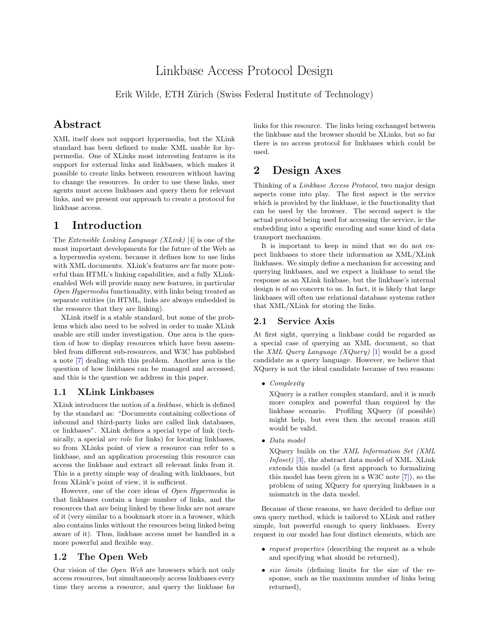# Linkbase Access Protocol Design

Erik Wilde, ETH Zürich (Swiss Federal Institute of Technology)

## Abstract

XML itself does not support hypermedia, but the XLink standard has been defined to make XML usable for hypermedia. One of XLinks most interesting features is its support for external links and linkbases, which makes it possible to create links between resources without having to change the resources. In order to use these links, user agents must access linkbases and query them for relevant links, and we present our approach to create a protocol for linkbase access.

# 1 Introduction

The Extensible Linking Language (XLink) [\[4\]](#page-1-0) is one of the most important developments for the future of the Web as a hypermedia system, because it defines how to use links with XML documents. XLink's features are far more powerful than HTML's linking capabilities, and a fully XLinkenabled Web will provide many new features, in particular Open Hypermedia functionality, with links being treated as separate entities (in HTML, links are always embedded in the resource that they are linking).

XLink itself is a stable standard, but some of the problems which also need to be solved in order to make XLink usable are still under investigation. One area is the question of how to display resources which have been assembled from different sub-resources, and W3C has published a note [\[7\]](#page-1-0) dealing with this problem. Another area is the question of how linkbases can be managed and accessed, and this is the question we address in this paper.

#### 1.1 XLink Linkbases

XLink introduces the notion of a linkbase, which is defined by the standard as: "Documents containing collections of inbound and third-party links are called link databases, or linkbases". XLink defines a special type of link (technically, a special arc role for links) for locating linkbases, so from XLinks point of view a resource can refer to a linkbase, and an application processing this resource can access the linkbase and extract all relevant links from it. This is a pretty simple way of dealing with linkbases, but from XLink's point of view, it is sufficient.

However, one of the core ideas of Open Hypermedia is that linkbases contain a huge number of links, and the resources that are being linked by these links are not aware of it (very similar to a bookmark store in a browser, which also contains links without the resources being linked being aware of it). Thus, linkbase access must be handled in a more powerful and flexible way.

#### 1.2 The Open Web

Our vision of the Open Web are browsers which not only access resources, but simultaneously access linkbases every time they access a resource, and query the linkbase for links for this resource. The links being exchanged between the linkbase and the browser should be XLinks, but so far there is no access protocol for linkbases which could be used.

## 2 Design Axes

Thinking of a Linkbase Access Protocol, two major design aspects come into play. The first aspect is the service which is provided by the linkbase, ie the functionality that can be used by the browser. The second aspect is the actual protocol being used for accessing the service, ie the embedding into a specific encoding and some kind of data transport mechanism.

It is important to keep in mind that we do not expect linkbases to store their information as XML/XLink linkbases. We simply define a mechanism for accessing and querying linkbases, and we expect a linkbase to send the response as an XLink linkbase, but the linkbase's internal design is of no concern to us. In fact, it is likely that large linkbases will often use relational database systems rather that XML/XLink for storing the links.

#### 2.1 Service Axis

At first sight, querying a linkbase could be regarded as a special case of querying an XML document, so that the XML Query Language (XQuery) [\[1\]](#page-1-0) would be a good candidate as a query language. However, we believe that XQuery is not the ideal candidate because of two reasons:

• Complexity

XQuery is a rather complex standard, and it is much more complex and powerful than required by the linkbase scenario. Profiling XQuery (if possible) might help, but even then the second reason still would be valid.

• Data model

XQuery builds on the XML Information Set (XML Infoset) [\[3\]](#page-1-0), the abstract data model of XML. XLink extends this model (a first approach to formalizing this model has been given in a W3C note [\[7\]](#page-1-0)), so the problem of using XQuery for querying linkbases is a mismatch in the data model.

Because of these reasons, we have decided to define our own query method, which is tailored to XLink and rather simple, but powerful enough to query linkbases. Every request in our model has four distinct elements, which are

- *request properties* (describing the request as a whole and specifying what should be returned),
- size limits (defining limits for the size of the response, such as the maximum number of links being returned),